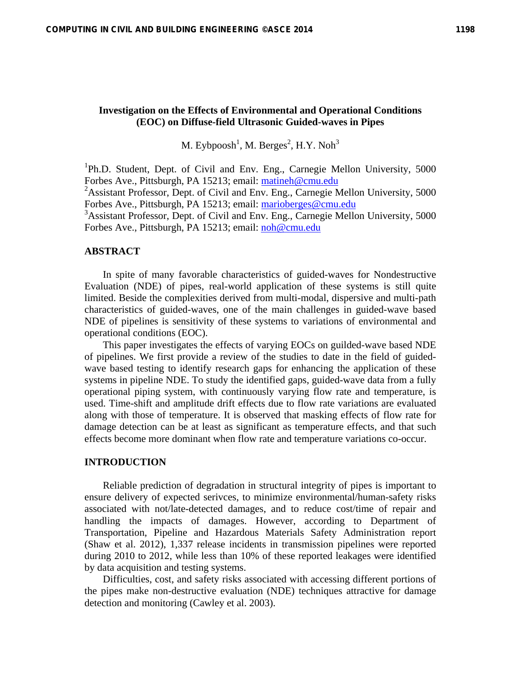# **Investigation on the Effects of Environmental and Operational Conditions (EOC) on Diffuse-field Ultrasonic Guided-waves in Pipes**

M. Eybpoosh $^1$ , M. Berges $^2$ , H.Y. Noh $^3$ 

<sup>1</sup>Ph.D. Student, Dept. of Civil and Env. Eng., Carnegie Mellon University, 5000 Forbes Ave., Pittsburgh, PA 15213; email: matineh@cmu.edu <sup>2</sup> Assistant Professor, Dept. of Civil and Env. Eng., Carnegie Mellon University, 5000 Forbes Ave., Pittsburgh, PA 15213; email: marioberges@cmu.edu <sup>3</sup>Assistant Professor, Dept. of Civil and Env. Eng., Carnegie Mellon University, 5000 Forbes Ave., Pittsburgh, PA 15213; email: noh@cmu.edu

### **ABSTRACT**

In spite of many favorable characteristics of guided-waves for Nondestructive Evaluation (NDE) of pipes, real-world application of these systems is still quite limited. Beside the complexities derived from multi-modal, dispersive and multi-path characteristics of guided-waves, one of the main challenges in guided-wave based NDE of pipelines is sensitivity of these systems to variations of environmental and operational conditions (EOC).

This paper investigates the effects of varying EOCs on guilded-wave based NDE of pipelines. We first provide a review of the studies to date in the field of guidedwave based testing to identify research gaps for enhancing the application of these systems in pipeline NDE. To study the identified gaps, guided-wave data from a fully operational piping system, with continuously varying flow rate and temperature, is used. Time-shift and amplitude drift effects due to flow rate variations are evaluated along with those of temperature. It is observed that masking effects of flow rate for damage detection can be at least as significant as temperature effects, and that such effects become more dominant when flow rate and temperature variations co-occur.

## **INTRODUCTION**

Reliable prediction of degradation in structural integrity of pipes is important to ensure delivery of expected serivces, to minimize environmental/human-safety risks associated with not/late-detected damages, and to reduce cost/time of repair and handling the impacts of damages. However, according to Department of Transportation, Pipeline and Hazardous Materials Safety Administration report (Shaw et al. 2012), 1,337 release incidents in transmission pipelines were reported during 2010 to 2012, while less than 10% of these reported leakages were identified by data acquisition and testing systems.

Difficulties, cost, and safety risks associated with accessing different portions of the pipes make non-destructive evaluation (NDE) techniques attractive for damage detection and monitoring (Cawley et al. 2003).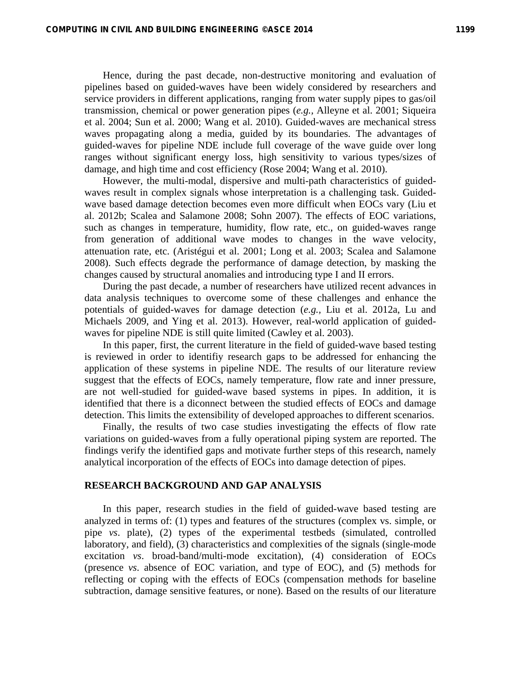Hence, during the past decade, non-destructive monitoring and evaluation of pipelines based on guided-waves have been widely considered by researchers and service providers in different applications, ranging from water supply pipes to gas/oil transmission, chemical or power generation pipes (*e.g.,* Alleyne et al. 2001; Siqueira et al. 2004; Sun et al. 2000; Wang et al. 2010). Guided-waves are mechanical stress waves propagating along a media, guided by its boundaries. The advantages of guided-waves for pipeline NDE include full coverage of the wave guide over long ranges without significant energy loss, high sensitivity to various types/sizes of damage, and high time and cost efficiency (Rose 2004; Wang et al. 2010).

However, the multi-modal, dispersive and multi-path characteristics of guidedwaves result in complex signals whose interpretation is a challenging task. Guidedwave based damage detection becomes even more difficult when EOCs vary (Liu et al. 2012b; Scalea and Salamone 2008; Sohn 2007). The effects of EOC variations, such as changes in temperature, humidity, flow rate, etc., on guided-waves range from generation of additional wave modes to changes in the wave velocity, attenuation rate, etc. (Aristégui et al. 2001; Long et al. 2003; Scalea and Salamone 2008). Such effects degrade the performance of damage detection, by masking the changes caused by structural anomalies and introducing type I and II errors.

During the past decade, a number of researchers have utilized recent advances in data analysis techniques to overcome some of these challenges and enhance the potentials of guided-waves for damage detection (*e.g.,* Liu et al. 2012a, Lu and Michaels 2009, and Ying et al. 2013). However, real-world application of guidedwaves for pipeline NDE is still quite limited (Cawley et al. 2003).

In this paper, first, the current literature in the field of guided-wave based testing is reviewed in order to identifiy research gaps to be addressed for enhancing the application of these systems in pipeline NDE. The results of our literature review suggest that the effects of EOCs, namely temperature, flow rate and inner pressure, are not well-studied for guided-wave based systems in pipes. In addition, it is identified that there is a diconnect between the studied effects of EOCs and damage detection. This limits the extensibility of developed approaches to different scenarios.

Finally, the results of two case studies investigating the effects of flow rate variations on guided-waves from a fully operational piping system are reported. The findings verify the identified gaps and motivate further steps of this research, namely analytical incorporation of the effects of EOCs into damage detection of pipes.

## **RESEARCH BACKGROUND AND GAP ANALYSIS**

In this paper, research studies in the field of guided-wave based testing are analyzed in terms of: (1) types and features of the structures (complex vs. simple, or pipe *vs*. plate), (2) types of the experimental testbeds (simulated, controlled laboratory, and field), (3) characteristics and complexities of the signals (single-mode excitation *vs*. broad-band/multi-mode excitation), (4) consideration of EOCs (presence *vs*. absence of EOC variation, and type of EOC), and (5) methods for reflecting or coping with the effects of EOCs (compensation methods for baseline subtraction, damage sensitive features, or none). Based on the results of our literature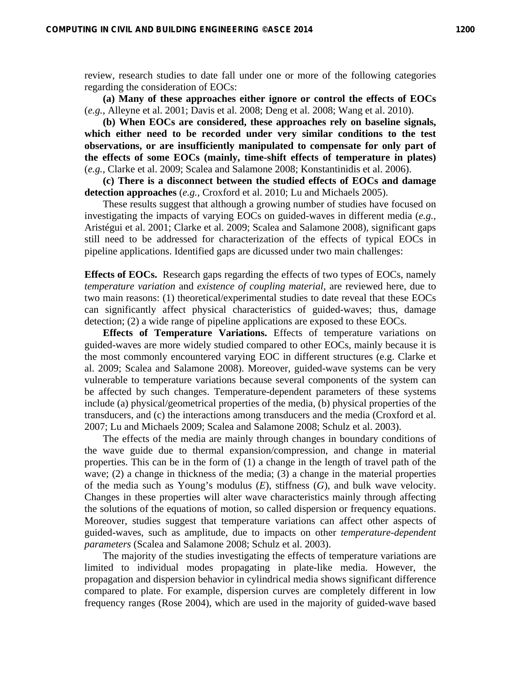review, research studies to date fall under one or more of the following categories regarding the consideration of EOCs:

**(a) Many of these approaches either ignore or control the effects of EOCs** (*e.g.*, Alleyne et al. 2001; Davis et al. 2008; Deng et al. 2008; Wang et al. 2010).

**(b) When EOCs are considered, these approaches rely on baseline signals, which either need to be recorded under very similar conditions to the test observations, or are insufficiently manipulated to compensate for only part of the effects of some EOCs (mainly, time-shift effects of temperature in plates)** (*e.g.*, Clarke et al. 2009; Scalea and Salamone 2008; Konstantinidis et al. 2006).

**(c) There is a disconnect between the studied effects of EOCs and damage detection approaches** (*e.g.,* Croxford et al. 2010; Lu and Michaels 2005).

These results suggest that although a growing number of studies have focused on investigating the impacts of varying EOCs on guided-waves in different media (*e.g.,* Aristégui et al. 2001; Clarke et al. 2009; Scalea and Salamone 2008), significant gaps still need to be addressed for characterization of the effects of typical EOCs in pipeline applications. Identified gaps are dicussed under two main challenges:

**Effects of EOCs.** Research gaps regarding the effects of two types of EOCs, namely *temperature variation* and *existence of coupling material*, are reviewed here, due to two main reasons: (1) theoretical/experimental studies to date reveal that these EOCs can significantly affect physical characteristics of guided-waves; thus, damage detection; (2) a wide range of pipeline applications are exposed to these EOCs.

**Effects of Temperature Variations.** Effects of temperature variations on guided-waves are more widely studied compared to other EOCs, mainly because it is the most commonly encountered varying EOC in different structures (e.g. Clarke et al. 2009; Scalea and Salamone 2008). Moreover, guided-wave systems can be very vulnerable to temperature variations because several components of the system can be affected by such changes. Temperature-dependent parameters of these systems include (a) physical/geometrical properties of the media, (b) physical properties of the transducers, and (c) the interactions among transducers and the media (Croxford et al. 2007; Lu and Michaels 2009; Scalea and Salamone 2008; Schulz et al. 2003).

The effects of the media are mainly through changes in boundary conditions of the wave guide due to thermal expansion/compression, and change in material properties. This can be in the form of (1) a change in the length of travel path of the wave; (2) a change in thickness of the media; (3) a change in the material properties of the media such as Young's modulus (*E*), stiffness (*G*), and bulk wave velocity. Changes in these properties will alter wave characteristics mainly through affecting the solutions of the equations of motion, so called dispersion or frequency equations. Moreover, studies suggest that temperature variations can affect other aspects of guided-waves, such as amplitude, due to impacts on other *temperature-dependent parameters* (Scalea and Salamone 2008; Schulz et al. 2003).

The majority of the studies investigating the effects of temperature variations are limited to individual modes propagating in plate-like media. However, the propagation and dispersion behavior in cylindrical media shows significant difference compared to plate. For example, dispersion curves are completely different in low frequency ranges (Rose 2004), which are used in the majority of guided-wave based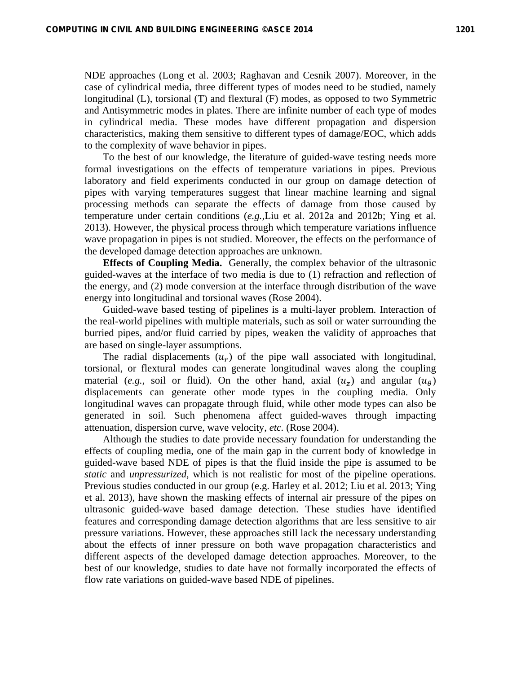NDE approaches (Long et al. 2003; Raghavan and Cesnik 2007). Moreover, in the case of cylindrical media, three different types of modes need to be studied, namely longitudinal (L), torsional (T) and flextural (F) modes, as opposed to two Symmetric and Antisymmetric modes in plates. There are infinite number of each type of modes in cylindrical media. These modes have different propagation and dispersion characteristics, making them sensitive to different types of damage/EOC, which adds to the complexity of wave behavior in pipes.

To the best of our knowledge, the literature of guided-wave testing needs more formal investigations on the effects of temperature variations in pipes. Previous laboratory and field experiments conducted in our group on damage detection of pipes with varying temperatures suggest that linear machine learning and signal processing methods can separate the effects of damage from those caused by temperature under certain conditions (*e.g.,*Liu et al. 2012a and 2012b; Ying et al. 2013). However, the physical process through which temperature variations influence wave propagation in pipes is not studied. Moreover, the effects on the performance of the developed damage detection approaches are unknown.

**Effects of Coupling Media.** Generally, the complex behavior of the ultrasonic guided-waves at the interface of two media is due to (1) refraction and reflection of the energy, and (2) mode conversion at the interface through distribution of the wave energy into longitudinal and torsional waves (Rose 2004).

Guided-wave based testing of pipelines is a multi-layer problem. Interaction of the real-world pipelines with multiple materials, such as soil or water surrounding the burried pipes, and/or fluid carried by pipes, weaken the validity of approaches that are based on single-layer assumptions.

The radial displacements  $(u_r)$  of the pipe wall associated with longitudinal, torsional, or flextural modes can generate longitudinal waves along the coupling material (*e.g.*, soil or fluid). On the other hand, axial  $(u_7)$  and angular  $(u_7)$ displacements can generate other mode types in the coupling media. Only longitudinal waves can propagate through fluid, while other mode types can also be generated in soil. Such phenomena affect guided-waves through impacting attenuation, dispersion curve, wave velocity, *etc.* (Rose 2004).

Although the studies to date provide necessary foundation for understanding the effects of coupling media, one of the main gap in the current body of knowledge in guided-wave based NDE of pipes is that the fluid inside the pipe is assumed to be *static* and *unpressurized*, which is not realistic for most of the pipeline operations. Previous studies conducted in our group (e.g. Harley et al. 2012; Liu et al. 2013; Ying et al. 2013), have shown the masking effects of internal air pressure of the pipes on ultrasonic guided-wave based damage detection. These studies have identified features and corresponding damage detection algorithms that are less sensitive to air pressure variations. However, these approaches still lack the necessary understanding about the effects of inner pressure on both wave propagation characteristics and different aspects of the developed damage detection approaches. Moreover, to the best of our knowledge, studies to date have not formally incorporated the effects of flow rate variations on guided-wave based NDE of pipelines.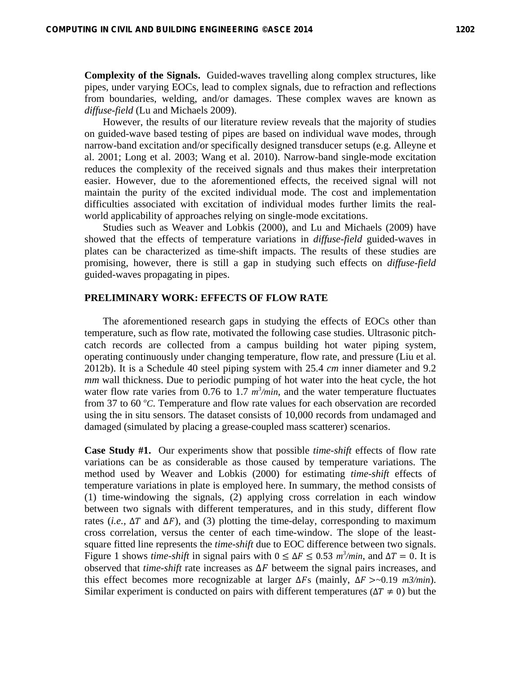**Complexity of the Signals.** Guided-waves travelling along complex structures, like pipes, under varying EOCs, lead to complex signals, due to refraction and reflections from boundaries, welding, and/or damages. These complex waves are known as *diffuse-field* (Lu and Michaels 2009).

However, the results of our literature review reveals that the majority of studies on guided-wave based testing of pipes are based on individual wave modes, through narrow-band excitation and/or specifically designed transducer setups (e.g. Alleyne et al. 2001; Long et al. 2003; Wang et al. 2010). Narrow-band single-mode excitation reduces the complexity of the received signals and thus makes their interpretation easier. However, due to the aforementioned effects, the received signal will not maintain the purity of the excited individual mode. The cost and implementation difficulties associated with excitation of individual modes further limits the realworld applicability of approaches relying on single-mode excitations.

Studies such as Weaver and Lobkis (2000), and Lu and Michaels (2009) have showed that the effects of temperature variations in *diffuse-field* guided-waves in plates can be characterized as time-shift impacts. The results of these studies are promising, however, there is still a gap in studying such effects on *diffuse-field* guided-waves propagating in pipes.

#### **PRELIMINARY WORK: EFFECTS OF FLOW RATE**

The aforementioned research gaps in studying the effects of EOCs other than temperature, such as flow rate, motivated the following case studies. Ultrasonic pitchcatch records are collected from a campus building hot water piping system, operating continuously under changing temperature, flow rate, and pressure (Liu et al. 2012b). It is a Schedule 40 steel piping system with 25.4 *cm* inner diameter and 9.2 *mm* wall thickness. Due to periodic pumping of hot water into the heat cycle, the hot water flow rate varies from 0.76 to 1.7  $m^3$ /min, and the water temperature fluctuates from 37 to 60 °C. Temperature and flow rate values for each observation are recorded using the in situ sensors. The dataset consists of 10,000 records from undamaged and damaged (simulated by placing a grease-coupled mass scatterer) scenarios.

**Case Study #1.** Our experiments show that possible *time-shift* effects of flow rate variations can be as considerable as those caused by temperature variations. The method used by Weaver and Lobkis (2000) for estimating *time-shift* effects of temperature variations in plate is employed here. In summary, the method consists of (1) time-windowing the signals, (2) applying cross correlation in each window between two signals with different temperatures, and in this study, different flow rates (*i.e.*,  $\Delta T$  and  $\Delta F$ ), and (3) plotting the time-delay, corresponding to maximum cross correlation, versus the center of each time-window. The slope of the leastsquare fitted line represents the *time-shift* due to EOC difference between two signals. Figure 1 shows *time-shift* in signal pairs with  $0 \leq \Delta F \leq 0.53$  *m*<sup>3</sup>/*min*, and  $\Delta T = 0$ . It is observed that *time-shift* rate increases as  $\Delta F$  betweem the signal pairs increases, and this effect becomes more recognizable at larger  $\Delta F_s$  (mainly,  $\Delta F > 0.19$  *m3/min*). Similar experiment is conducted on pairs with different temperatures ( $\Delta T \neq 0$ ) but the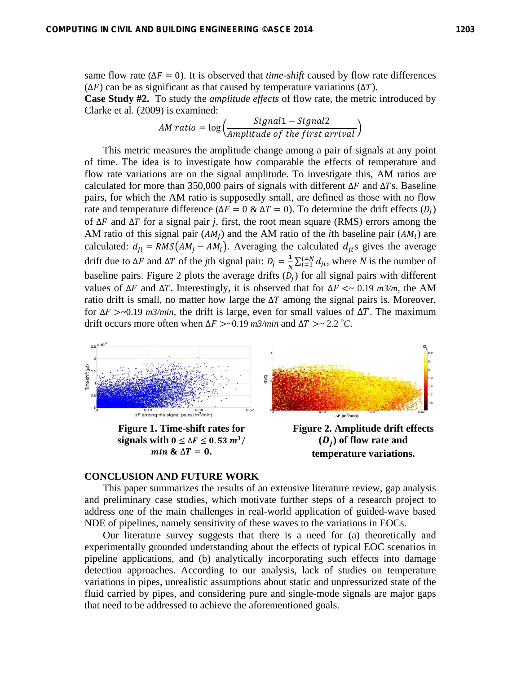same flow rate ( $\Delta F = 0$ ). It is observed that *time-shift* caused by flow rate differences  $(\Delta F)$  can be as significant as that caused by temperature variations ( $\Delta T$ ).

**Case Study #2.** To study the *amplitude effects* of flow rate, the metric introduced by Clarke et al. (2009) is examined:

$$
AM\ ratio = \log\left(\frac{Signal1 - Signal2}{Amplitude\ of\ the\ first\ arrival}\right)
$$

This metric measures the amplitude change among a pair of signals at any point of time. The idea is to investigate how comparable the effects of temperature and flow rate variations are on the signal amplitude. To investigate this, AM ratios are calculated for more than 350,000 pairs of signals with different  $\Delta F$  and  $\Delta Ts$ . Baseline pairs, for which the AM ratio is supposedly small, are defined as those with no flow rate and temperature difference ( $\Delta F = 0 \& \Delta T = 0$ ). To determine the drift effects ( $D_i$ ) of ∆ܨ and ∆ܶ for a signal pair *j*, first, the root mean square (RMS) errors among the AM ratio of this signal pair  $(AM_i)$  and the AM ratio of the *i*th baseline pair  $(AM_i)$  are calculated:  $d_{ji} = RMS(AM_j - AM_i)$ . Averaging the calculated  $d_{ji}$ s gives the average drift due to  $\Delta F$  and  $\Delta T$  of the *j*th signal pair:  $D_j = \frac{1}{N} \sum_{i=1}^{i=N} d_{ji}$ , where *N* is the number of baseline pairs. Figure 2 plots the average drifts  $(D_i)$  for all signal pairs with different values of  $\Delta F$  and  $\Delta T$ . Interestingly, it is observed that for  $\Delta F \leq 0.19$  *m3/m*, the AM ratio drift is small, no matter how large the  $\Delta T$  among the signal pairs is. Moreover, for  $\Delta F > 0.19$  *m3/min*, the drift is large, even for small values of  $\Delta T$ . The maximum drift occurs more often when  $\Delta F > 0.19$  *m3/min* and  $\Delta T > 2.2$  <sup>o</sup>C.



**Figure 1. Time-shift rates for**  signals with  $0 \le \Delta F \le 0.53 \, m^3/$  $\boldsymbol{min} \& \Delta \boldsymbol{T} = \boldsymbol{0}$ .

**Figure 2. Amplitude drift effects**   $(D_i)$  of flow rate and **temperature variations.** 

## **CONCLUSION AND FUTURE WORK**

This paper summarizes the results of an extensive literature review, gap analysis and preliminary case studies, which motivate further steps of a research project to address one of the main challenges in real-world application of guided-wave based NDE of pipelines, namely sensitivity of these waves to the variations in EOCs.

Our literature survey suggests that there is a need for (a) theoretically and experimentally grounded understanding about the effects of typical EOC scenarios in pipeline applications, and (b) analytically incorporating such effects into damage detection approaches. According to our analysis, lack of studies on temperature variations in pipes, unrealistic assumptions about static and unpressurized state of the fluid carried by pipes, and considering pure and single-mode signals are major gaps that need to be addressed to achieve the aforementioned goals.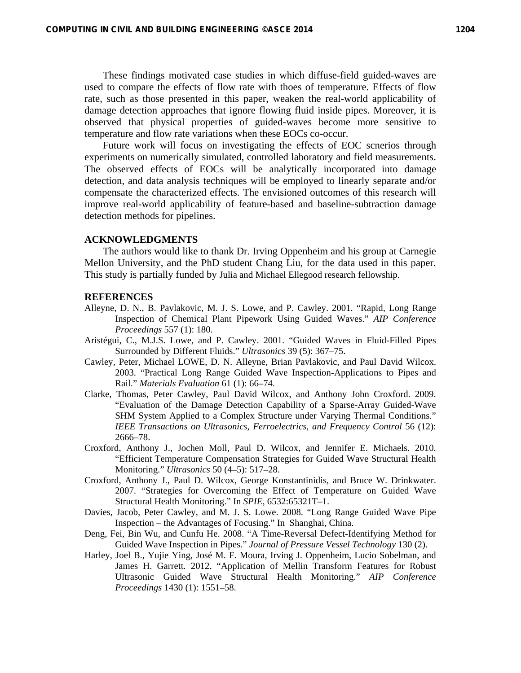These findings motivated case studies in which diffuse-field guided-waves are used to compare the effects of flow rate with thoes of temperature. Effects of flow rate, such as those presented in this paper, weaken the real-world applicability of damage detection approaches that ignore flowing fluid inside pipes. Moreover, it is observed that physical properties of guided-waves become more sensitive to temperature and flow rate variations when these EOCs co-occur.

Future work will focus on investigating the effects of EOC scnerios through experiments on numerically simulated, controlled laboratory and field measurements. The observed effects of EOCs will be analytically incorporated into damage detection, and data analysis techniques will be employed to linearly separate and/or compensate the characterized effects. The envisioned outcomes of this research will improve real-world applicability of feature-based and baseline-subtraction damage detection methods for pipelines.

### **ACKNOWLEDGMENTS**

The authors would like to thank Dr. Irving Oppenheim and his group at Carnegie Mellon University, and the PhD student Chang Liu, for the data used in this paper. This study is partially funded by Julia and Michael Ellegood research fellowship.

### **REFERENCES**

- Alleyne, D. N., B. Pavlakovic, M. J. S. Lowe, and P. Cawley. 2001. "Rapid, Long Range Inspection of Chemical Plant Pipework Using Guided Waves." *AIP Conference Proceedings* 557 (1): 180.
- Aristégui, C., M.J.S. Lowe, and P. Cawley. 2001. "Guided Waves in Fluid-Filled Pipes Surrounded by Different Fluids." *Ultrasonics* 39 (5): 367–75.
- Cawley, Peter, Michael LOWE, D. N. Alleyne, Brian Pavlakovic, and Paul David Wilcox. 2003. "Practical Long Range Guided Wave Inspection-Applications to Pipes and Rail." *Materials Evaluation* 61 (1): 66–74.
- Clarke, Thomas, Peter Cawley, Paul David Wilcox, and Anthony John Croxford. 2009. "Evaluation of the Damage Detection Capability of a Sparse-Array Guided-Wave SHM System Applied to a Complex Structure under Varying Thermal Conditions." *IEEE Transactions on Ultrasonics, Ferroelectrics, and Frequency Control* 56 (12): 2666–78.
- Croxford, Anthony J., Jochen Moll, Paul D. Wilcox, and Jennifer E. Michaels. 2010. "Efficient Temperature Compensation Strategies for Guided Wave Structural Health Monitoring." *Ultrasonics* 50 (4–5): 517–28.
- Croxford, Anthony J., Paul D. Wilcox, George Konstantinidis, and Bruce W. Drinkwater. 2007. "Strategies for Overcoming the Effect of Temperature on Guided Wave Structural Health Monitoring." In *SPIE*, 6532:65321T–1.
- Davies, Jacob, Peter Cawley, and M. J. S. Lowe. 2008. "Long Range Guided Wave Pipe Inspection – the Advantages of Focusing." In Shanghai, China.
- Deng, Fei, Bin Wu, and Cunfu He. 2008. "A Time-Reversal Defect-Identifying Method for Guided Wave Inspection in Pipes." *Journal of Pressure Vessel Technology* 130 (2).
- Harley, Joel B., Yujie Ying, José M. F. Moura, Irving J. Oppenheim, Lucio Sobelman, and James H. Garrett. 2012. "Application of Mellin Transform Features for Robust Ultrasonic Guided Wave Structural Health Monitoring." *AIP Conference Proceedings* 1430 (1): 1551–58.